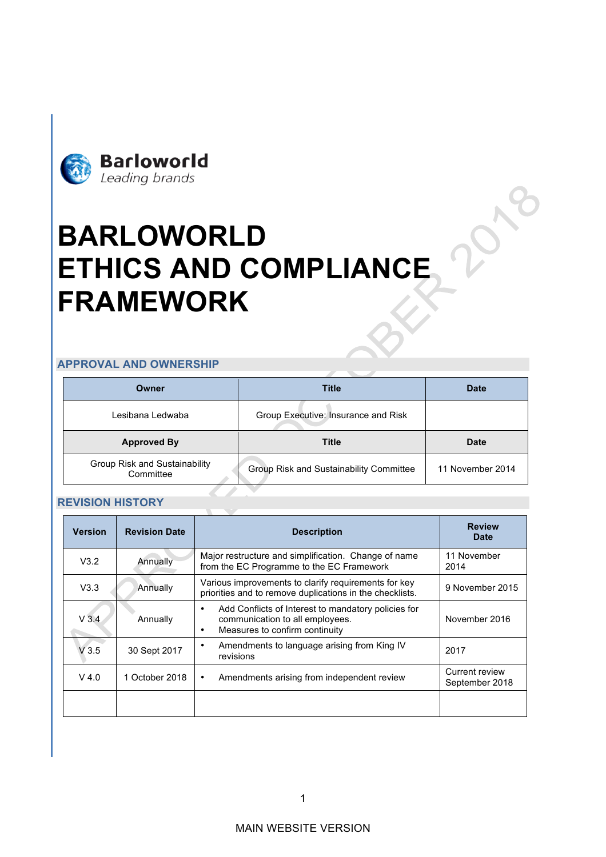

# **BARLOWORLD ETHICS AND COMPLIANCE FRAMEWORK**

#### **APPROVAL AND OWNERSHIP**

| Owner                                      | Title                                   | <b>Date</b>      |  |  |
|--------------------------------------------|-----------------------------------------|------------------|--|--|
| Lesibana Ledwaba                           | Group Executive: Insurance and Risk     |                  |  |  |
| <b>Approved By</b>                         | <b>Title</b>                            | <b>Date</b>      |  |  |
| Group Risk and Sustainability<br>Committee | Group Risk and Sustainability Committee | 11 November 2014 |  |  |

#### **REVISION HISTORY**

| <b>Version</b> | <b>Revision Date</b> | <b>Description</b>                                                                                                                         | <b>Review</b><br>Date            |
|----------------|----------------------|--------------------------------------------------------------------------------------------------------------------------------------------|----------------------------------|
| V3.2           | Annually             | Major restructure and simplification. Change of name<br>from the EC Programme to the EC Framework                                          | 11 November<br>2014              |
| V3.3           | Annually             | Various improvements to clarify requirements for key<br>priorities and to remove duplications in the checklists.                           | 9 November 2015                  |
| $V$ 3.4        | Annually             | Add Conflicts of Interest to mandatory policies for<br>$\bullet$<br>communication to all employees.<br>Measures to confirm continuity<br>٠ | November 2016                    |
| V3.5           | 30 Sept 2017         | Amendments to language arising from King IV<br>٠<br>revisions                                                                              | 2017                             |
| $V$ 4.0        | 1 October 2018       | Amendments arising from independent review<br>$\bullet$                                                                                    | Current review<br>September 2018 |
|                |                      |                                                                                                                                            |                                  |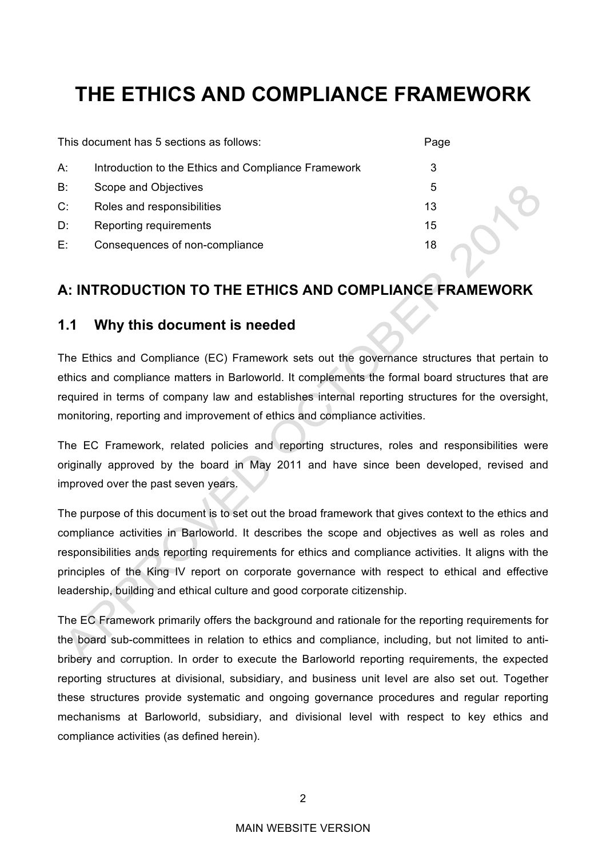# **THE ETHICS AND COMPLIANCE FRAMEWORK**

|       | This document has 5 sections as follows:            | Page |  |
|-------|-----------------------------------------------------|------|--|
| А:    | Introduction to the Ethics and Compliance Framework | 3    |  |
| $B$ : | Scope and Objectives                                | 5    |  |
| C:    | Roles and responsibilities                          | 13   |  |
| D:    | Reporting requirements                              | 15   |  |
| E:    | Consequences of non-compliance                      | 18   |  |
|       |                                                     |      |  |

# **A: INTRODUCTION TO THE ETHICS AND COMPLIANCE FRAMEWORK**

### **1.1 Why this document is needed**

The Ethics and Compliance (EC) Framework sets out the governance structures that pertain to ethics and compliance matters in Barloworld. It complements the formal board structures that are required in terms of company law and establishes internal reporting structures for the oversight, monitoring, reporting and improvement of ethics and compliance activities.

The EC Framework, related policies and reporting structures, roles and responsibilities were originally approved by the board in May 2011 and have since been developed, revised and improved over the past seven years.

The purpose of this document is to set out the broad framework that gives context to the ethics and compliance activities in Barloworld. It describes the scope and objectives as well as roles and responsibilities ands reporting requirements for ethics and compliance activities. It aligns with the principles of the King IV report on corporate governance with respect to ethical and effective leadership, building and ethical culture and good corporate citizenship.

The EC Framework primarily offers the background and rationale for the reporting requirements for the board sub-committees in relation to ethics and compliance, including, but not limited to antibribery and corruption. In order to execute the Barloworld reporting requirements, the expected reporting structures at divisional, subsidiary, and business unit level are also set out. Together these structures provide systematic and ongoing governance procedures and regular reporting mechanisms at Barloworld, subsidiary, and divisional level with respect to key ethics and compliance activities (as defined herein).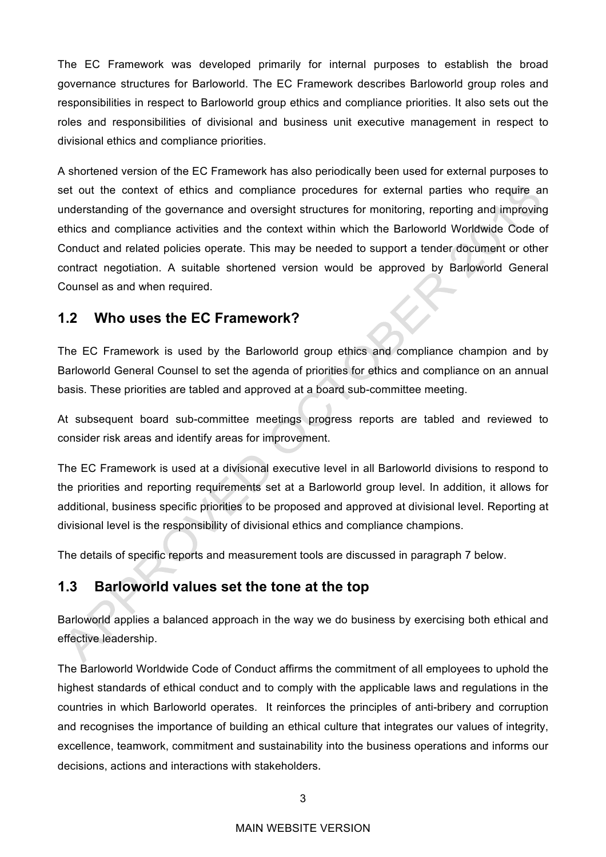The EC Framework was developed primarily for internal purposes to establish the broad governance structures for Barloworld. The EC Framework describes Barloworld group roles and responsibilities in respect to Barloworld group ethics and compliance priorities. It also sets out the roles and responsibilities of divisional and business unit executive management in respect to divisional ethics and compliance priorities.

A shortened version of the EC Framework has also periodically been used for external purposes to set out the context of ethics and compliance procedures for external parties who require an understanding of the governance and oversight structures for monitoring, reporting and improving ethics and compliance activities and the context within which the Barloworld Worldwide Code of Conduct and related policies operate. This may be needed to support a tender document or other contract negotiation. A suitable shortened version would be approved by Barloworld General Counsel as and when required.

## **1.2 Who uses the EC Framework?**

The EC Framework is used by the Barloworld group ethics and compliance champion and by Barloworld General Counsel to set the agenda of priorities for ethics and compliance on an annual basis. These priorities are tabled and approved at a board sub-committee meeting.

At subsequent board sub-committee meetings progress reports are tabled and reviewed to consider risk areas and identify areas for improvement.

The EC Framework is used at a divisional executive level in all Barloworld divisions to respond to the priorities and reporting requirements set at a Barloworld group level. In addition, it allows for additional, business specific priorities to be proposed and approved at divisional level. Reporting at divisional level is the responsibility of divisional ethics and compliance champions.

The details of specific reports and measurement tools are discussed in paragraph 7 below.

## **1.3 Barloworld values set the tone at the top**

Barloworld applies a balanced approach in the way we do business by exercising both ethical and effective leadership.

The Barloworld Worldwide Code of Conduct affirms the commitment of all employees to uphold the highest standards of ethical conduct and to comply with the applicable laws and regulations in the countries in which Barloworld operates. It reinforces the principles of anti-bribery and corruption and recognises the importance of building an ethical culture that integrates our values of integrity, excellence, teamwork, commitment and sustainability into the business operations and informs our decisions, actions and interactions with stakeholders.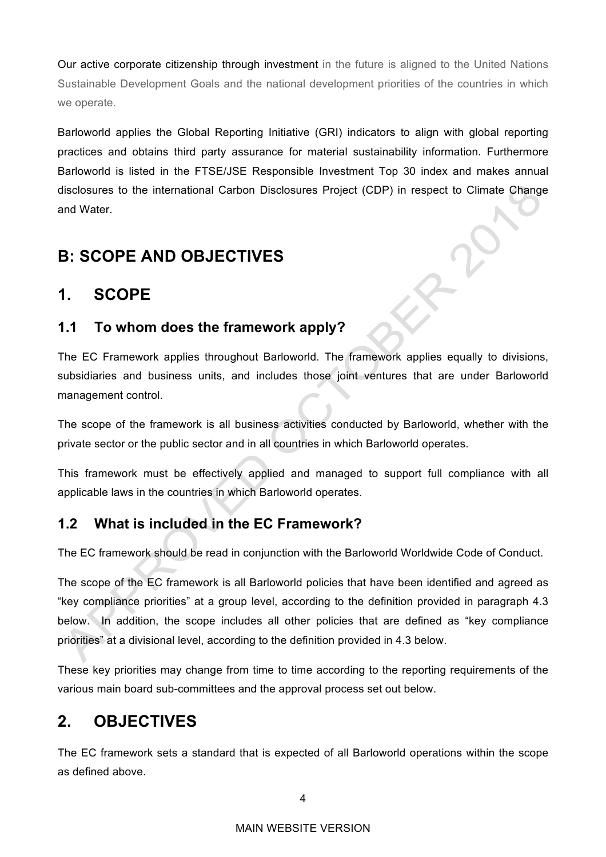Our active corporate citizenship through investment in the future is aligned to the United Nations Sustainable Development Goals and the national development priorities of the countries in which we operate.

Barloworld applies the Global Reporting Initiative (GRI) indicators to align with global reporting practices and obtains third party assurance for material sustainability information. Furthermore Barloworld is listed in the FTSE/JSE Responsible Investment Top 30 index and makes annual disclosures to the international Carbon Disclosures Project (CDP) in respect to Climate Change and Water.

# **B: SCOPE AND OBJECTIVES**

# **1. SCOPE**

# **1.1 To whom does the framework apply?**

The EC Framework applies throughout Barloworld. The framework applies equally to divisions, subsidiaries and business units, and includes those joint ventures that are under Barloworld management control.

The scope of the framework is all business activities conducted by Barloworld, whether with the private sector or the public sector and in all countries in which Barloworld operates.

This framework must be effectively applied and managed to support full compliance with all applicable laws in the countries in which Barloworld operates.

# **1.2 What is included in the EC Framework?**

The EC framework should be read in conjunction with the Barloworld Worldwide Code of Conduct.

The scope of the EC framework is all Barloworld policies that have been identified and agreed as "key compliance priorities" at a group level, according to the definition provided in paragraph 4.3 below. In addition, the scope includes all other policies that are defined as "key compliance priorities" at a divisional level, according to the definition provided in 4.3 below.

These key priorities may change from time to time according to the reporting requirements of the various main board sub-committees and the approval process set out below.

# **2. OBJECTIVES**

The EC framework sets a standard that is expected of all Barloworld operations within the scope as defined above.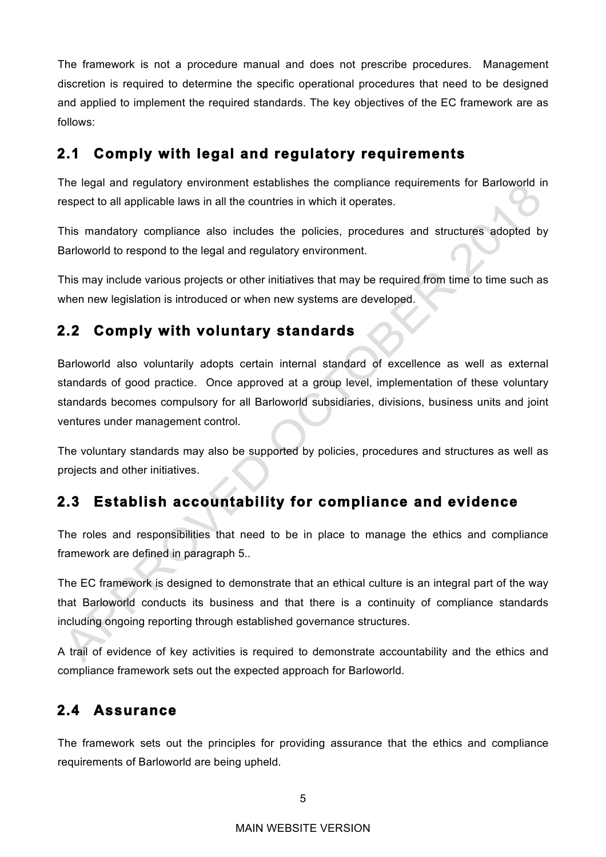The framework is not a procedure manual and does not prescribe procedures. Management discretion is required to determine the specific operational procedures that need to be designed and applied to implement the required standards. The key objectives of the EC framework are as follows:

# **2.1 Comply with legal and regulatory requirements**

The legal and regulatory environment establishes the compliance requirements for Barloworld in respect to all applicable laws in all the countries in which it operates.

This mandatory compliance also includes the policies, procedures and structures adopted by Barloworld to respond to the legal and regulatory environment.

This may include various projects or other initiatives that may be required from time to time such as when new legislation is introduced or when new systems are developed.

# **2.2 Comply with voluntary standards**

Barloworld also voluntarily adopts certain internal standard of excellence as well as external standards of good practice. Once approved at a group level, implementation of these voluntary standards becomes compulsory for all Barloworld subsidiaries, divisions, business units and joint ventures under management control.

The voluntary standards may also be supported by policies, procedures and structures as well as projects and other initiatives.

# **2.3 Establish accountability for compliance and evidence**

The roles and responsibilities that need to be in place to manage the ethics and compliance framework are defined in paragraph 5..

The EC framework is designed to demonstrate that an ethical culture is an integral part of the way that Barloworld conducts its business and that there is a continuity of compliance standards including ongoing reporting through established governance structures.

A trail of evidence of key activities is required to demonstrate accountability and the ethics and compliance framework sets out the expected approach for Barloworld.

# **2.4 Assurance**

The framework sets out the principles for providing assurance that the ethics and compliance requirements of Barloworld are being upheld.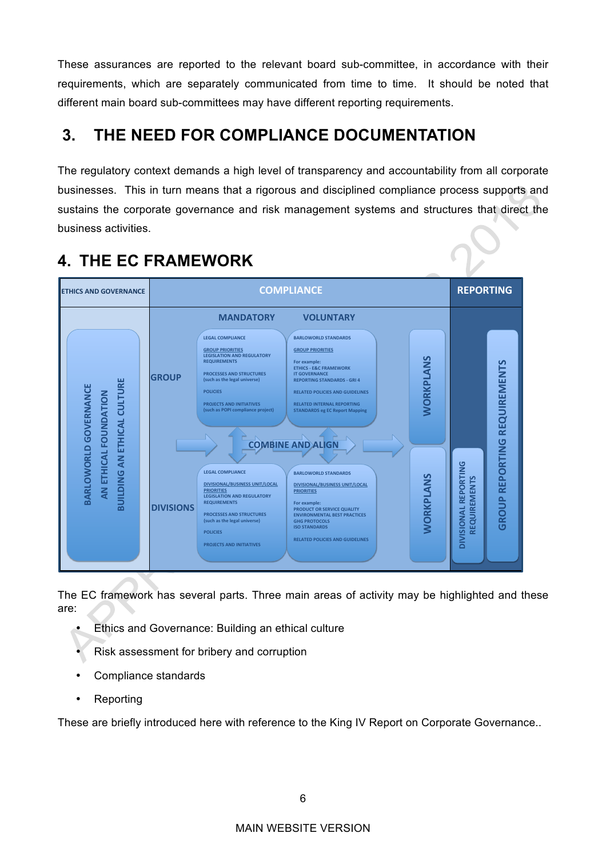These assurances are reported to the relevant board sub-committee, in accordance with their requirements, which are separately communicated from time to time. It should be noted that different main board sub-committees may have different reporting requirements.

# **3. THE NEED FOR COMPLIANCE DOCUMENTATION**

The regulatory context demands a high level of transparency and accountability from all corporate businesses. This in turn means that a rigorous and disciplined compliance process supports and sustains the corporate governance and risk management systems and structures that direct the business activities.



# **4. THE EC FRAMEWORK**

The EC framework has several parts. Three main areas of activity may be highlighted and these are:

- **Ethics and Governance: Building an ethical culture**
- Risk assessment for bribery and corruption
- Compliance standards
- Reporting

These are briefly introduced here with reference to the King IV Report on Corporate Governance..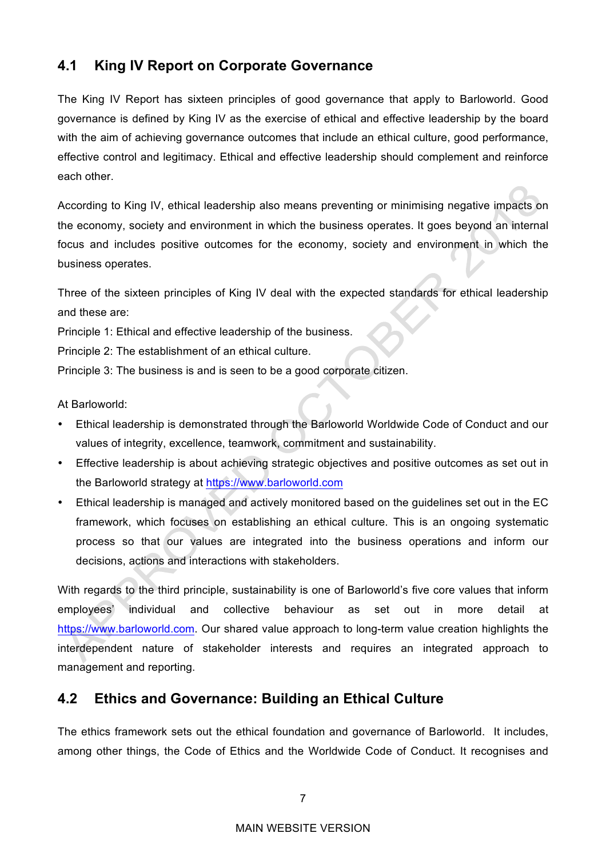# **4.1 King IV Report on Corporate Governance**

The King IV Report has sixteen principles of good governance that apply to Barloworld. Good governance is defined by King IV as the exercise of ethical and effective leadership by the board with the aim of achieving governance outcomes that include an ethical culture, good performance, effective control and legitimacy. Ethical and effective leadership should complement and reinforce each other.

According to King IV, ethical leadership also means preventing or minimising negative impacts on the economy, society and environment in which the business operates. It goes beyond an internal focus and includes positive outcomes for the economy, society and environment in which the business operates.

Three of the sixteen principles of King IV deal with the expected standards for ethical leadership and these are:

Principle 1: Ethical and effective leadership of the business.

Principle 2: The establishment of an ethical culture.

Principle 3: The business is and is seen to be a good corporate citizen.

At Barloworld:

- Ethical leadership is demonstrated through the Barloworld Worldwide Code of Conduct and our values of integrity, excellence, teamwork, commitment and sustainability.
- Effective leadership is about achieving strategic objectives and positive outcomes as set out in the Barloworld strategy at https://www.barloworld.com
- Ethical leadership is managed and actively monitored based on the guidelines set out in the EC framework, which focuses on establishing an ethical culture. This is an ongoing systematic process so that our values are integrated into the business operations and inform our decisions, actions and interactions with stakeholders.

With regards to the third principle, sustainability is one of Barloworld's five core values that inform employees' individual and collective behaviour as set out in more detail at https://www.barloworld.com. Our shared value approach to long-term value creation highlights the interdependent nature of stakeholder interests and requires an integrated approach to management and reporting.

## **4.2 Ethics and Governance: Building an Ethical Culture**

The ethics framework sets out the ethical foundation and governance of Barloworld. It includes, among other things, the Code of Ethics and the Worldwide Code of Conduct. It recognises and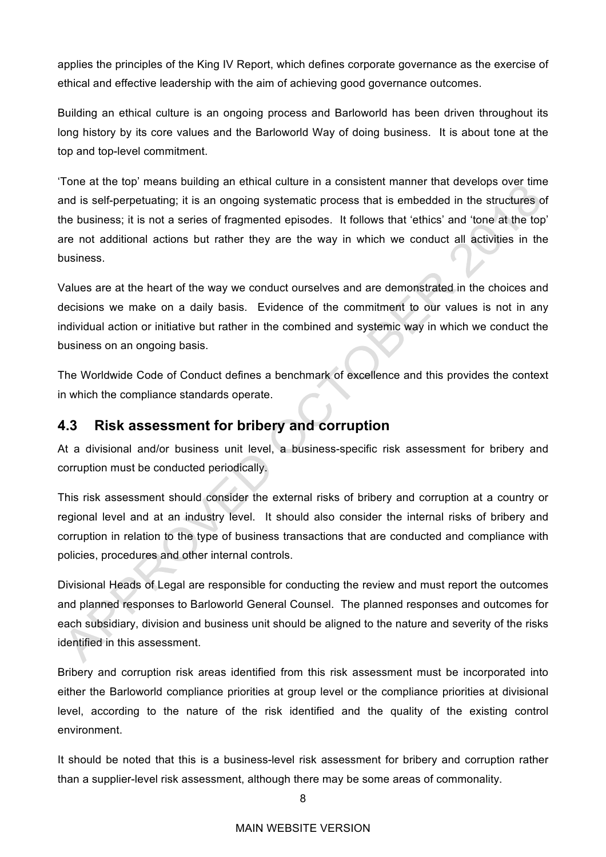applies the principles of the King IV Report, which defines corporate governance as the exercise of ethical and effective leadership with the aim of achieving good governance outcomes.

Building an ethical culture is an ongoing process and Barloworld has been driven throughout its long history by its core values and the Barloworld Way of doing business. It is about tone at the top and top-level commitment.

'Tone at the top' means building an ethical culture in a consistent manner that develops over time and is self-perpetuating; it is an ongoing systematic process that is embedded in the structures of the business; it is not a series of fragmented episodes. It follows that 'ethics' and 'tone at the top' are not additional actions but rather they are the way in which we conduct all activities in the business.

Values are at the heart of the way we conduct ourselves and are demonstrated in the choices and decisions we make on a daily basis. Evidence of the commitment to our values is not in any individual action or initiative but rather in the combined and systemic way in which we conduct the business on an ongoing basis.

The Worldwide Code of Conduct defines a benchmark of excellence and this provides the context in which the compliance standards operate.

## **4.3 Risk assessment for bribery and corruption**

At a divisional and/or business unit level, a business-specific risk assessment for bribery and corruption must be conducted periodically.

This risk assessment should consider the external risks of bribery and corruption at a country or regional level and at an industry level. It should also consider the internal risks of bribery and corruption in relation to the type of business transactions that are conducted and compliance with policies, procedures and other internal controls.

Divisional Heads of Legal are responsible for conducting the review and must report the outcomes and planned responses to Barloworld General Counsel. The planned responses and outcomes for each subsidiary, division and business unit should be aligned to the nature and severity of the risks identified in this assessment.

Bribery and corruption risk areas identified from this risk assessment must be incorporated into either the Barloworld compliance priorities at group level or the compliance priorities at divisional level, according to the nature of the risk identified and the quality of the existing control environment.

It should be noted that this is a business-level risk assessment for bribery and corruption rather than a supplier-level risk assessment, although there may be some areas of commonality.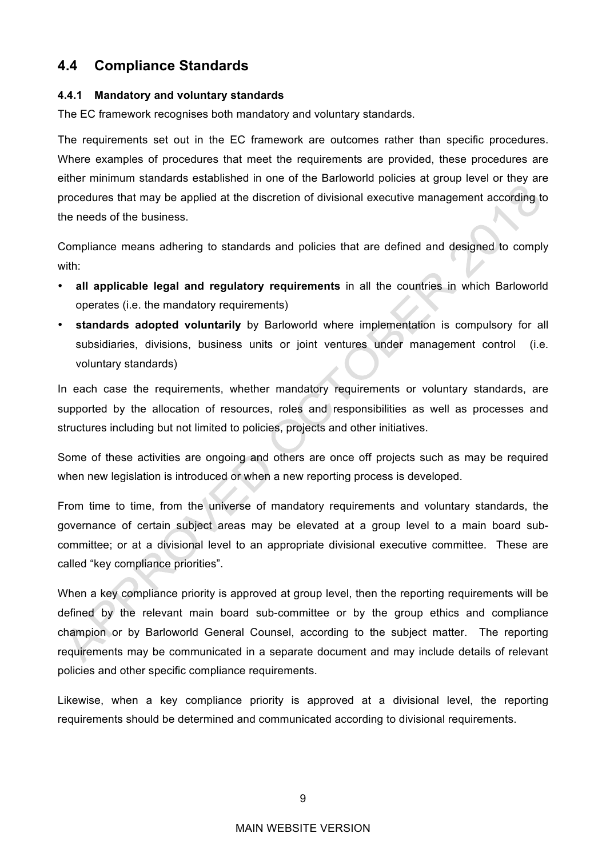## **4.4 Compliance Standards**

#### **4.4.1 Mandatory and voluntary standards**

The EC framework recognises both mandatory and voluntary standards.

The requirements set out in the EC framework are outcomes rather than specific procedures. Where examples of procedures that meet the requirements are provided, these procedures are either minimum standards established in one of the Barloworld policies at group level or they are procedures that may be applied at the discretion of divisional executive management according to the needs of the business.

Compliance means adhering to standards and policies that are defined and designed to comply with:

- **all applicable legal and regulatory requirements** in all the countries in which Barloworld operates (i.e. the mandatory requirements)
- **standards adopted voluntarily** by Barloworld where implementation is compulsory for all subsidiaries, divisions, business units or joint ventures under management control (i.e. voluntary standards)

In each case the requirements, whether mandatory requirements or voluntary standards, are supported by the allocation of resources, roles and responsibilities as well as processes and structures including but not limited to policies, projects and other initiatives.

Some of these activities are ongoing and others are once off projects such as may be required when new legislation is introduced or when a new reporting process is developed.

From time to time, from the universe of mandatory requirements and voluntary standards, the governance of certain subject areas may be elevated at a group level to a main board subcommittee; or at a divisional level to an appropriate divisional executive committee. These are called "key compliance priorities".

When a key compliance priority is approved at group level, then the reporting requirements will be defined by the relevant main board sub-committee or by the group ethics and compliance champion or by Barloworld General Counsel, according to the subject matter. The reporting requirements may be communicated in a separate document and may include details of relevant policies and other specific compliance requirements.

Likewise, when a key compliance priority is approved at a divisional level, the reporting requirements should be determined and communicated according to divisional requirements.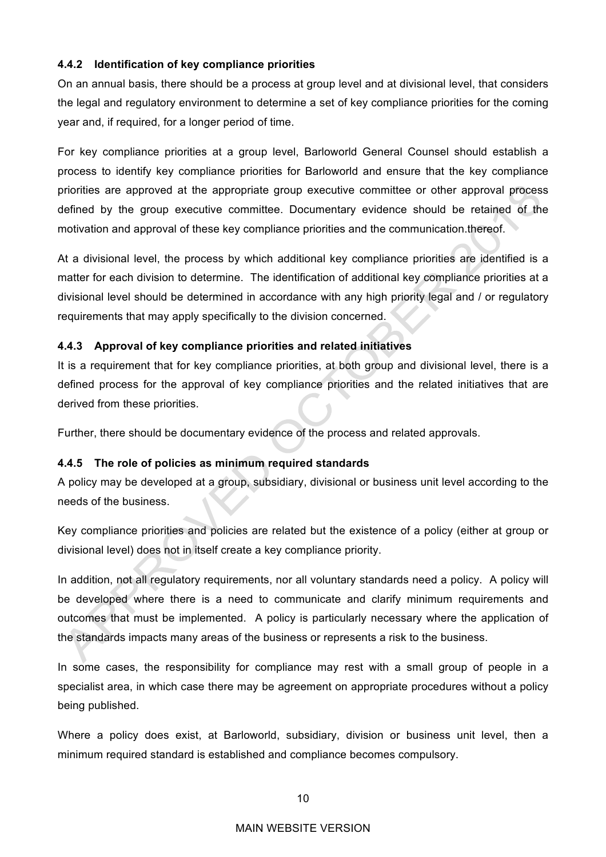#### **4.4.2 Identification of key compliance priorities**

On an annual basis, there should be a process at group level and at divisional level, that considers the legal and regulatory environment to determine a set of key compliance priorities for the coming year and, if required, for a longer period of time.

For key compliance priorities at a group level, Barloworld General Counsel should establish a process to identify key compliance priorities for Barloworld and ensure that the key compliance priorities are approved at the appropriate group executive committee or other approval process defined by the group executive committee. Documentary evidence should be retained of the motivation and approval of these key compliance priorities and the communication.thereof.

At a divisional level, the process by which additional key compliance priorities are identified is a matter for each division to determine. The identification of additional key compliance priorities at a divisional level should be determined in accordance with any high priority legal and / or regulatory requirements that may apply specifically to the division concerned.

#### **4.4.3 Approval of key compliance priorities and related initiatives**

It is a requirement that for key compliance priorities, at both group and divisional level, there is a defined process for the approval of key compliance priorities and the related initiatives that are derived from these priorities.

Further, there should be documentary evidence of the process and related approvals.

#### **4.4.5 The role of policies as minimum required standards**

A policy may be developed at a group, subsidiary, divisional or business unit level according to the needs of the business.

Key compliance priorities and policies are related but the existence of a policy (either at group or divisional level) does not in itself create a key compliance priority.

In addition, not all regulatory requirements, nor all voluntary standards need a policy. A policy will be developed where there is a need to communicate and clarify minimum requirements and outcomes that must be implemented. A policy is particularly necessary where the application of the standards impacts many areas of the business or represents a risk to the business.

In some cases, the responsibility for compliance may rest with a small group of people in a specialist area, in which case there may be agreement on appropriate procedures without a policy being published.

Where a policy does exist, at Barloworld, subsidiary, division or business unit level, then a minimum required standard is established and compliance becomes compulsory.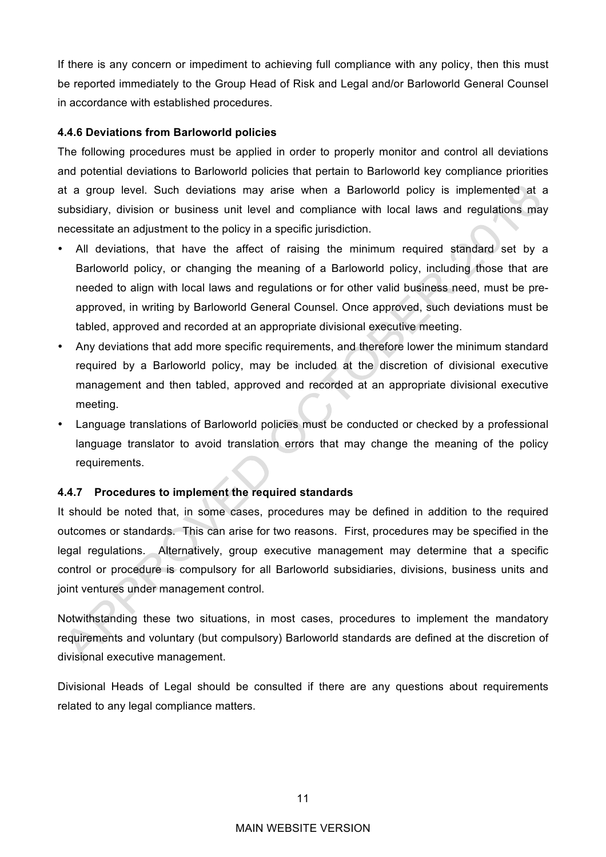If there is any concern or impediment to achieving full compliance with any policy, then this must be reported immediately to the Group Head of Risk and Legal and/or Barloworld General Counsel in accordance with established procedures.

#### **4.4.6 Deviations from Barloworld policies**

The following procedures must be applied in order to properly monitor and control all deviations and potential deviations to Barloworld policies that pertain to Barloworld key compliance priorities at a group level. Such deviations may arise when a Barloworld policy is implemented at a subsidiary, division or business unit level and compliance with local laws and regulations may necessitate an adjustment to the policy in a specific jurisdiction.

- All deviations, that have the affect of raising the minimum required standard set by a Barloworld policy, or changing the meaning of a Barloworld policy, including those that are needed to align with local laws and regulations or for other valid business need, must be preapproved, in writing by Barloworld General Counsel. Once approved, such deviations must be tabled, approved and recorded at an appropriate divisional executive meeting.
- Any deviations that add more specific requirements, and therefore lower the minimum standard required by a Barloworld policy, may be included at the discretion of divisional executive management and then tabled, approved and recorded at an appropriate divisional executive meeting.
- Language translations of Barloworld policies must be conducted or checked by a professional language translator to avoid translation errors that may change the meaning of the policy requirements.

#### **4.4.7 Procedures to implement the required standards**

It should be noted that, in some cases, procedures may be defined in addition to the required outcomes or standards. This can arise for two reasons. First, procedures may be specified in the legal regulations. Alternatively, group executive management may determine that a specific control or procedure is compulsory for all Barloworld subsidiaries, divisions, business units and joint ventures under management control.

Notwithstanding these two situations, in most cases, procedures to implement the mandatory requirements and voluntary (but compulsory) Barloworld standards are defined at the discretion of divisional executive management.

Divisional Heads of Legal should be consulted if there are any questions about requirements related to any legal compliance matters.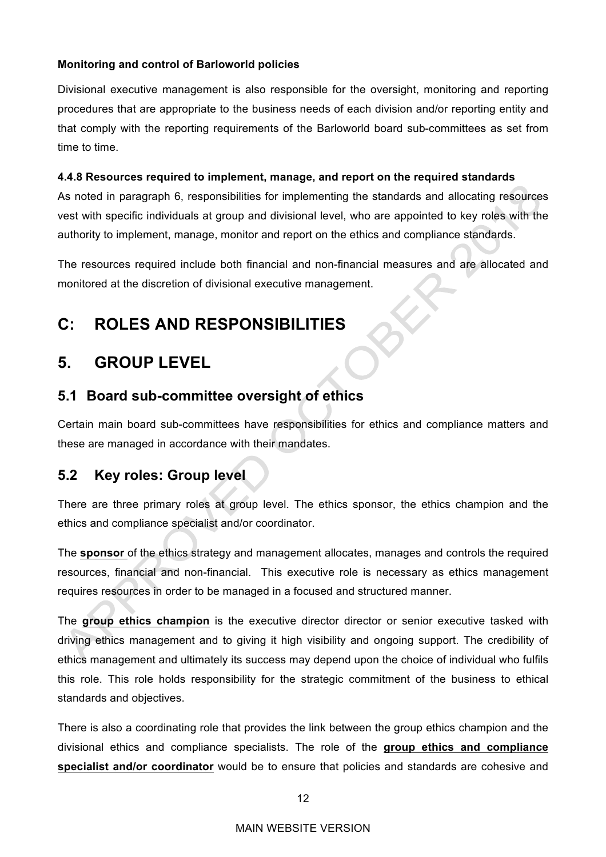#### **Monitoring and control of Barloworld policies**

Divisional executive management is also responsible for the oversight, monitoring and reporting procedures that are appropriate to the business needs of each division and/or reporting entity and that comply with the reporting requirements of the Barloworld board sub-committees as set from time to time.

#### **4.4.8 Resources required to implement, manage, and report on the required standards**

As noted in paragraph 6, responsibilities for implementing the standards and allocating resources vest with specific individuals at group and divisional level, who are appointed to key roles with the authority to implement, manage, monitor and report on the ethics and compliance standards.

The resources required include both financial and non-financial measures and are allocated and monitored at the discretion of divisional executive management.

# **C: ROLES AND RESPONSIBILITIES**

# **5. GROUP LEVEL**

# **5.1 Board sub-committee oversight of ethics**

Certain main board sub-committees have responsibilities for ethics and compliance matters and these are managed in accordance with their mandates.

## **5.2 Key roles: Group level**

There are three primary roles at group level. The ethics sponsor, the ethics champion and the ethics and compliance specialist and/or coordinator.

The **sponsor** of the ethics strategy and management allocates, manages and controls the required resources, financial and non-financial. This executive role is necessary as ethics management requires resources in order to be managed in a focused and structured manner.

The **group ethics champion** is the executive director director or senior executive tasked with driving ethics management and to giving it high visibility and ongoing support. The credibility of ethics management and ultimately its success may depend upon the choice of individual who fulfils this role. This role holds responsibility for the strategic commitment of the business to ethical standards and objectives.

There is also a coordinating role that provides the link between the group ethics champion and the divisional ethics and compliance specialists. The role of the **group ethics and compliance specialist and/or coordinator** would be to ensure that policies and standards are cohesive and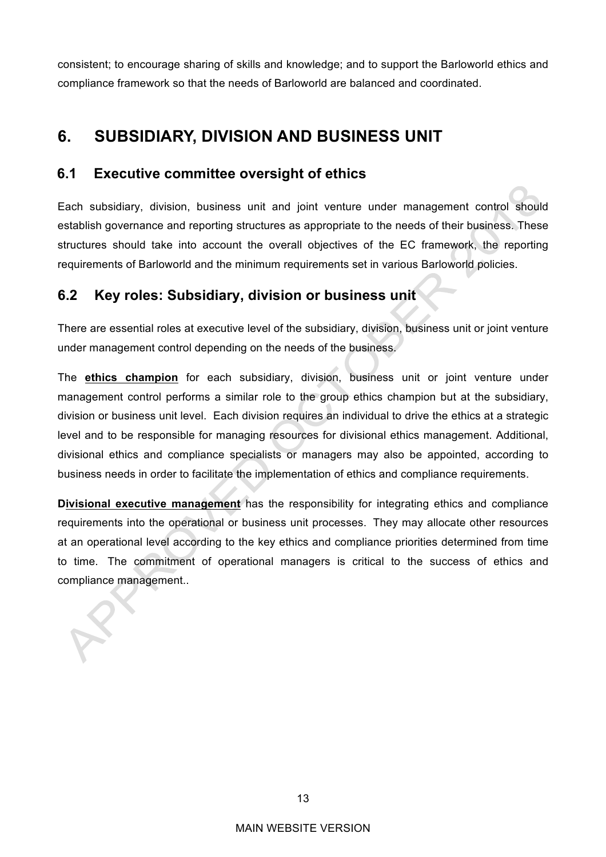consistent; to encourage sharing of skills and knowledge; and to support the Barloworld ethics and compliance framework so that the needs of Barloworld are balanced and coordinated.

# **6. SUBSIDIARY, DIVISION AND BUSINESS UNIT**

## **6.1 Executive committee oversight of ethics**

Each subsidiary, division, business unit and joint venture under management control should establish governance and reporting structures as appropriate to the needs of their business. These structures should take into account the overall objectives of the EC framework, the reporting requirements of Barloworld and the minimum requirements set in various Barloworld policies.

# **6.2 Key roles: Subsidiary, division or business unit**

There are essential roles at executive level of the subsidiary, division, business unit or joint venture under management control depending on the needs of the business.

The **ethics champion** for each subsidiary, division, business unit or joint venture under management control performs a similar role to the group ethics champion but at the subsidiary, division or business unit level. Each division requires an individual to drive the ethics at a strategic level and to be responsible for managing resources for divisional ethics management. Additional, divisional ethics and compliance specialists or managers may also be appointed, according to business needs in order to facilitate the implementation of ethics and compliance requirements.

**Divisional executive management** has the responsibility for integrating ethics and compliance requirements into the operational or business unit processes. They may allocate other resources at an operational level according to the key ethics and compliance priorities determined from time to time. The commitment of operational managers is critical to the success of ethics and compliance management..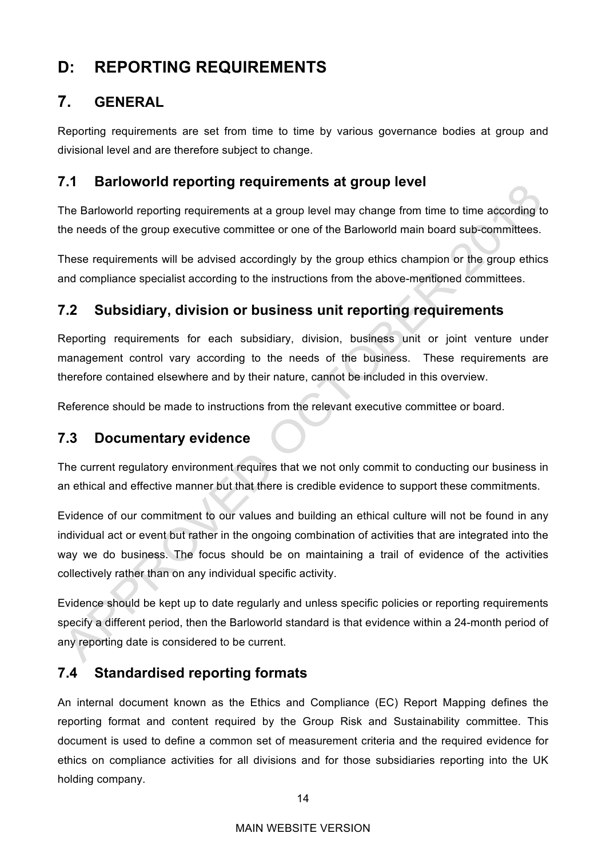# **D: REPORTING REQUIREMENTS**

# **7. GENERAL**

Reporting requirements are set from time to time by various governance bodies at group and divisional level and are therefore subject to change.

# **7.1 Barloworld reporting requirements at group level**

The Barloworld reporting requirements at a group level may change from time to time according to the needs of the group executive committee or one of the Barloworld main board sub-committees.

These requirements will be advised accordingly by the group ethics champion or the group ethics and compliance specialist according to the instructions from the above-mentioned committees.

# **7.2 Subsidiary, division or business unit reporting requirements**

Reporting requirements for each subsidiary, division, business unit or joint venture under management control vary according to the needs of the business. These requirements are therefore contained elsewhere and by their nature, cannot be included in this overview.

Reference should be made to instructions from the relevant executive committee or board.

## **7.3 Documentary evidence**

The current regulatory environment requires that we not only commit to conducting our business in an ethical and effective manner but that there is credible evidence to support these commitments.

Evidence of our commitment to our values and building an ethical culture will not be found in any individual act or event but rather in the ongoing combination of activities that are integrated into the way we do business. The focus should be on maintaining a trail of evidence of the activities collectively rather than on any individual specific activity.

Evidence should be kept up to date regularly and unless specific policies or reporting requirements specify a different period, then the Barloworld standard is that evidence within a 24-month period of any reporting date is considered to be current.

# **7.4 Standardised reporting formats**

An internal document known as the Ethics and Compliance (EC) Report Mapping defines the reporting format and content required by the Group Risk and Sustainability committee. This document is used to define a common set of measurement criteria and the required evidence for ethics on compliance activities for all divisions and for those subsidiaries reporting into the UK holding company.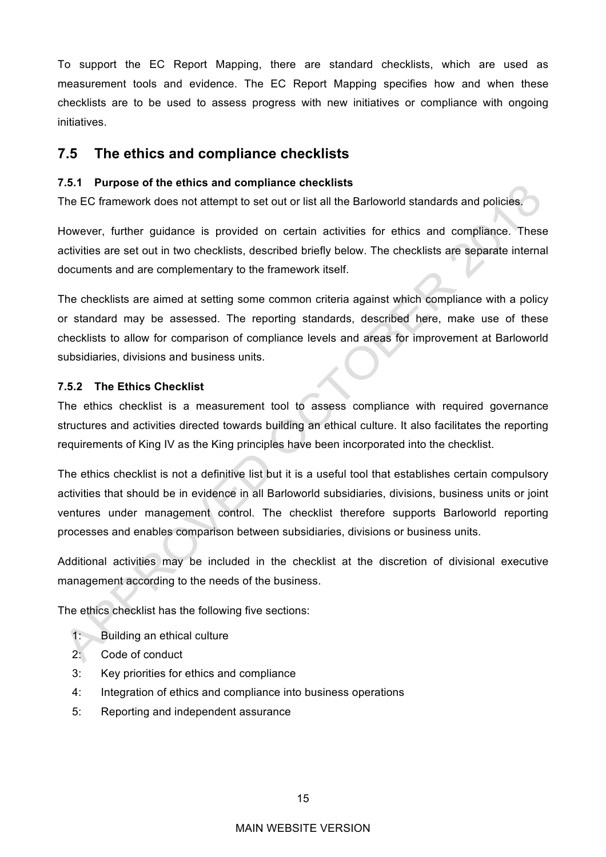To support the EC Report Mapping, there are standard checklists, which are used as measurement tools and evidence. The EC Report Mapping specifies how and when these checklists are to be used to assess progress with new initiatives or compliance with ongoing initiatives.

### **7.5 The ethics and compliance checklists**

#### **7.5.1 Purpose of the ethics and compliance checklists**

The EC framework does not attempt to set out or list all the Barloworld standards and policies.

However, further guidance is provided on certain activities for ethics and compliance. These activities are set out in two checklists, described briefly below. The checklists are separate internal documents and are complementary to the framework itself.

The checklists are aimed at setting some common criteria against which compliance with a policy or standard may be assessed. The reporting standards, described here, make use of these checklists to allow for comparison of compliance levels and areas for improvement at Barloworld subsidiaries, divisions and business units.

#### **7.5.2 The Ethics Checklist**

The ethics checklist is a measurement tool to assess compliance with required governance structures and activities directed towards building an ethical culture. It also facilitates the reporting requirements of King IV as the King principles have been incorporated into the checklist.

The ethics checklist is not a definitive list but it is a useful tool that establishes certain compulsory activities that should be in evidence in all Barloworld subsidiaries, divisions, business units or joint ventures under management control. The checklist therefore supports Barloworld reporting processes and enables comparison between subsidiaries, divisions or business units.

Additional activities may be included in the checklist at the discretion of divisional executive management according to the needs of the business.

The ethics checklist has the following five sections:

- 1: Building an ethical culture
- 2: Code of conduct
- 3: Key priorities for ethics and compliance
- 4: Integration of ethics and compliance into business operations
- 5: Reporting and independent assurance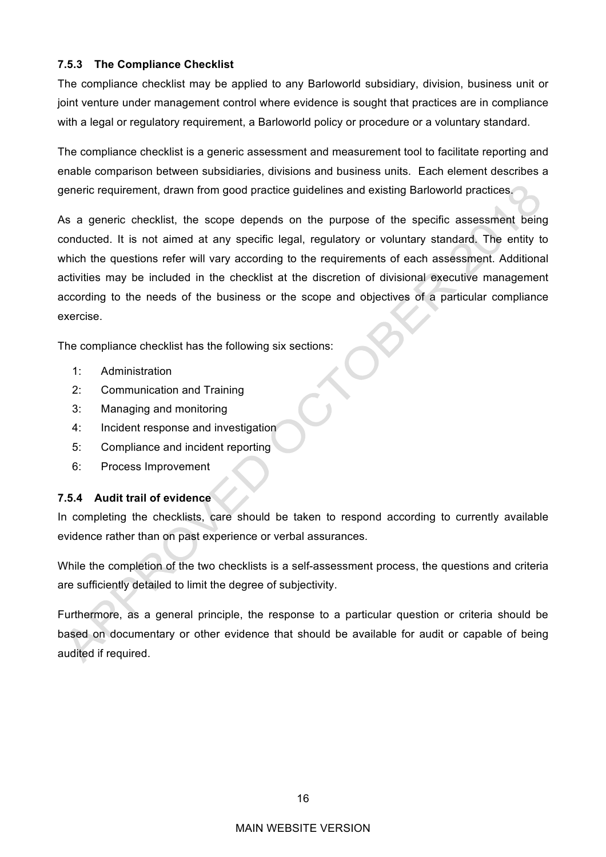#### **7.5.3 The Compliance Checklist**

The compliance checklist may be applied to any Barloworld subsidiary, division, business unit or joint venture under management control where evidence is sought that practices are in compliance with a legal or regulatory requirement, a Barloworld policy or procedure or a voluntary standard.

The compliance checklist is a generic assessment and measurement tool to facilitate reporting and enable comparison between subsidiaries, divisions and business units. Each element describes a generic requirement, drawn from good practice guidelines and existing Barloworld practices.

As a generic checklist, the scope depends on the purpose of the specific assessment being conducted. It is not aimed at any specific legal, regulatory or voluntary standard. The entity to which the questions refer will vary according to the requirements of each assessment. Additional activities may be included in the checklist at the discretion of divisional executive management according to the needs of the business or the scope and objectives of a particular compliance exercise.

The compliance checklist has the following six sections:

- 1: Administration
- 2: Communication and Training
- 3: Managing and monitoring
- 4: Incident response and investigation
- 5: Compliance and incident reporting
- 6: Process Improvement

#### **7.5.4 Audit trail of evidence**

In completing the checklists, care should be taken to respond according to currently available evidence rather than on past experience or verbal assurances.

While the completion of the two checklists is a self-assessment process, the questions and criteria are sufficiently detailed to limit the degree of subjectivity.

Furthermore, as a general principle, the response to a particular question or criteria should be based on documentary or other evidence that should be available for audit or capable of being audited if required.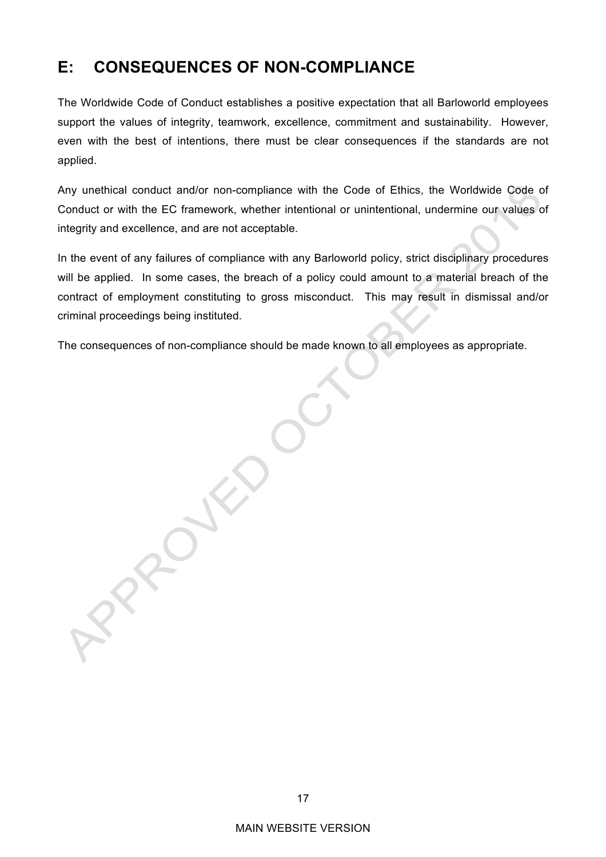# **E: CONSEQUENCES OF NON-COMPLIANCE**

ROW

The Worldwide Code of Conduct establishes a positive expectation that all Barloworld employees support the values of integrity, teamwork, excellence, commitment and sustainability. However, even with the best of intentions, there must be clear consequences if the standards are not applied.

Any unethical conduct and/or non-compliance with the Code of Ethics, the Worldwide Code of Conduct or with the EC framework, whether intentional or unintentional, undermine our values of integrity and excellence, and are not acceptable.

In the event of any failures of compliance with any Barloworld policy, strict disciplinary procedures will be applied. In some cases, the breach of a policy could amount to a material breach of the contract of employment constituting to gross misconduct. This may result in dismissal and/or criminal proceedings being instituted.

The consequences of non-compliance should be made known to all employees as appropriate.